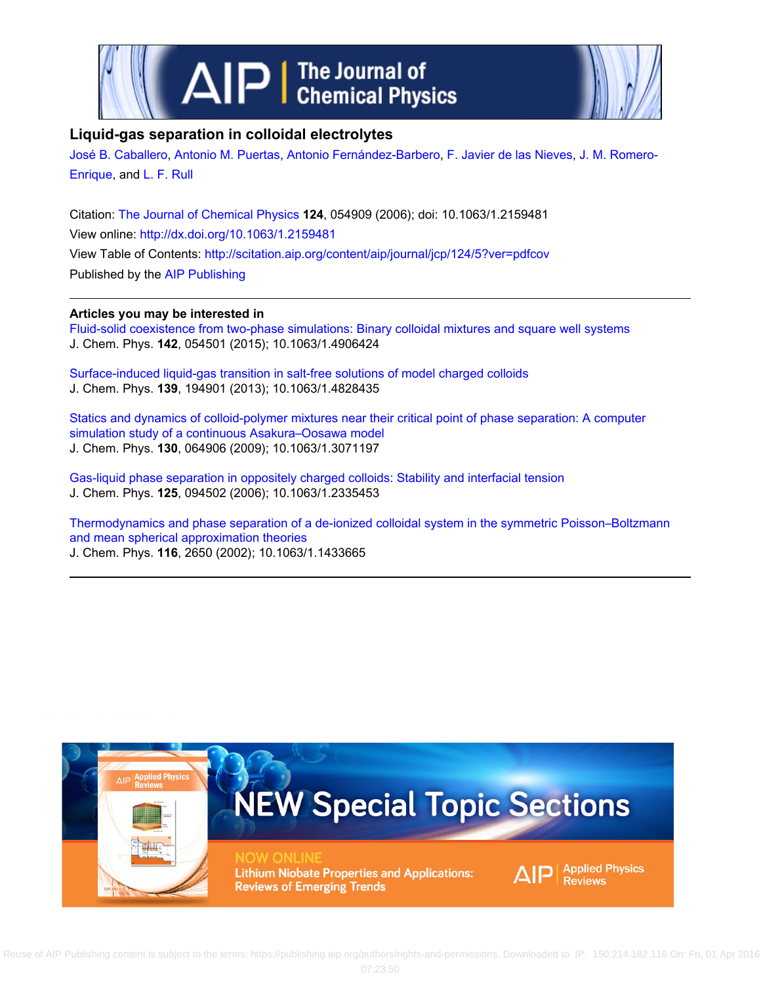

# **Liquid-gas separation in colloidal electrolytes**

[José B. Caballero,](http://scitation.aip.org/search?value1=Jos�+B.+Caballero&option1=author) [Antonio M. Puertas](http://scitation.aip.org/search?value1=Antonio+M.+Puertas&option1=author), [Antonio Fernández-Barbero](http://scitation.aip.org/search?value1=Antonio+Fern�ndez-Barbero&option1=author), [F. Javier de las Nieves,](http://scitation.aip.org/search?value1=F.+Javier+de+las+Nieves&option1=author) [J. M. Romero-](http://scitation.aip.org/search?value1=J.+M.+Romero-Enrique&option1=author)[Enrique](http://scitation.aip.org/search?value1=J.+M.+Romero-Enrique&option1=author), and [L. F. Rull](http://scitation.aip.org/search?value1=L.+F.+Rull&option1=author)

Citation: [The Journal of Chemical Physics](http://scitation.aip.org/content/aip/journal/jcp?ver=pdfcov) **124**, 054909 (2006); doi: 10.1063/1.2159481 View online: <http://dx.doi.org/10.1063/1.2159481> View Table of Contents: <http://scitation.aip.org/content/aip/journal/jcp/124/5?ver=pdfcov> Published by the [AIP Publishing](http://scitation.aip.org/content/aip?ver=pdfcov)

## **Articles you may be interested in**

[Fluid-solid coexistence from two-phase simulations: Binary colloidal mixtures and square well systems](http://scitation.aip.org/content/aip/journal/jcp/142/5/10.1063/1.4906424?ver=pdfcov) J. Chem. Phys. **142**, 054501 (2015); 10.1063/1.4906424

[Surface-induced liquid-gas transition in salt-free solutions of model charged colloids](http://scitation.aip.org/content/aip/journal/jcp/139/19/10.1063/1.4828435?ver=pdfcov) J. Chem. Phys. **139**, 194901 (2013); 10.1063/1.4828435

[Statics and dynamics of colloid-polymer mixtures near their critical point of phase separation: A computer](http://scitation.aip.org/content/aip/journal/jcp/130/6/10.1063/1.3071197?ver=pdfcov) [simulation study of a continuous Asakura–Oosawa model](http://scitation.aip.org/content/aip/journal/jcp/130/6/10.1063/1.3071197?ver=pdfcov) J. Chem. Phys. **130**, 064906 (2009); 10.1063/1.3071197

[Gas-liquid phase separation in oppositely charged colloids: Stability and interfacial tension](http://scitation.aip.org/content/aip/journal/jcp/125/9/10.1063/1.2335453?ver=pdfcov) J. Chem. Phys. **125**, 094502 (2006); 10.1063/1.2335453

[Thermodynamics and phase separation of a de-ionized colloidal system in the symmetric Poisson–Boltzmann](http://scitation.aip.org/content/aip/journal/jcp/116/6/10.1063/1.1433665?ver=pdfcov) [and mean spherical approximation theories](http://scitation.aip.org/content/aip/journal/jcp/116/6/10.1063/1.1433665?ver=pdfcov) J. Chem. Phys. **116**, 2650 (2002); 10.1063/1.1433665

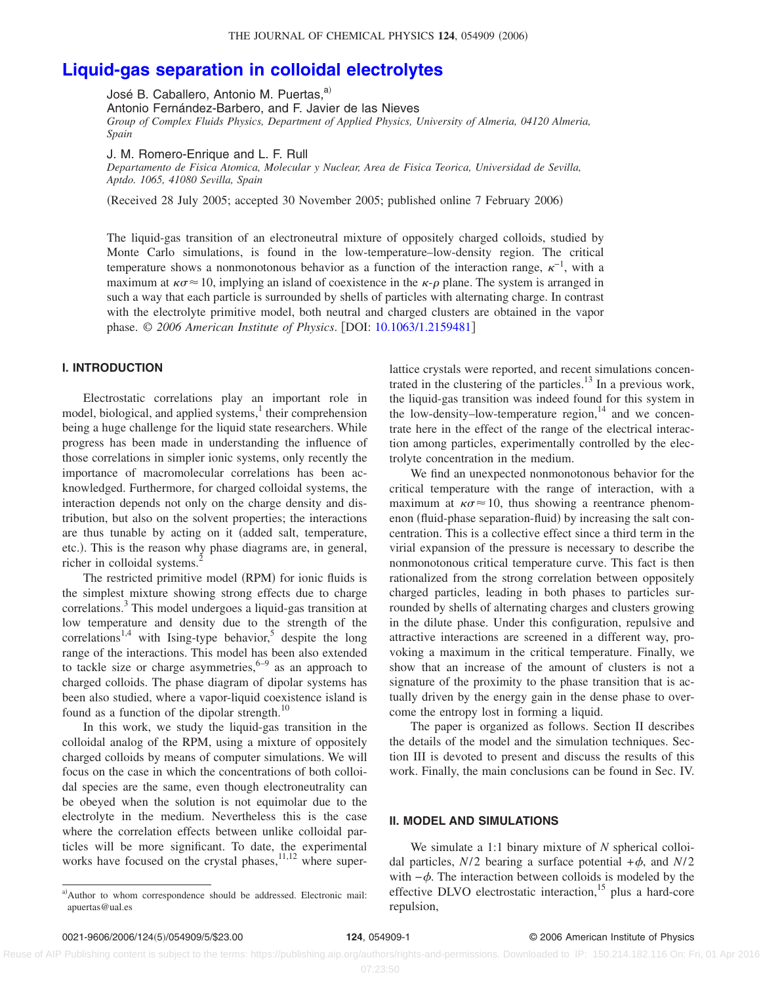# **[Liquid-gas separation in colloidal electrolytes](http://dx.doi.org/10.1063/1.2159481)**

José B. Caballero, Antonio M. Puertas,<sup>a)</sup> Antonio Fernández-Barbero, and F. Javier de las Nieves *Group of Complex Fluids Physics, Department of Applied Physics, University of Almeria, 04120 Almeria, Spain*

J. M. Romero-Enrique and L. F. Rull

*Departamento de Fisica Atomica, Molecular y Nuclear, Area de Fisica Teorica, Universidad de Sevilla, Aptdo. 1065, 41080 Sevilla, Spain*

(Received 28 July 2005; accepted 30 November 2005; published online 7 February 2006)

The liquid-gas transition of an electroneutral mixture of oppositely charged colloids, studied by Monte Carlo simulations, is found in the low-temperature–low-density region. The critical temperature shows a nonmonotonous behavior as a function of the interaction range,  $\kappa^{-1}$ , with a maximum at  $\kappa \sigma \approx 10$ , implying an island of coexistence in the  $\kappa$ - $\rho$  plane. The system is arranged in such a way that each particle is surrounded by shells of particles with alternating charge. In contrast with the electrolyte primitive model, both neutral and charged clusters are obtained in the vapor phase. © 2006 American Institute of Physics. [DOI: [10.1063/1.2159481](http://dx.doi.org/10.1063/1.2159481)]

## **I. INTRODUCTION**

Electrostatic correlations play an important role in model, biological, and applied systems, $\frac{1}{1}$  their comprehension being a huge challenge for the liquid state researchers. While progress has been made in understanding the influence of those correlations in simpler ionic systems, only recently the importance of macromolecular correlations has been acknowledged. Furthermore, for charged colloidal systems, the interaction depends not only on the charge density and distribution, but also on the solvent properties; the interactions are thus tunable by acting on it (added salt, temperature, etc.). This is the reason why phase diagrams are, in general, richer in colloidal systems.<sup>2</sup>

The restricted primitive model (RPM) for ionic fluids is the simplest mixture showing strong effects due to charge correlations.<sup>3</sup> This model undergoes a liquid-gas transition at low temperature and density due to the strength of the correlations<sup>1,4</sup> with Ising-type behavior,<sup>5</sup> despite the long range of the interactions. This model has been also extended to tackle size or charge asymmetries,  $6-9$  as an approach to charged colloids. The phase diagram of dipolar systems has been also studied, where a vapor-liquid coexistence island is found as a function of the dipolar strength.<sup>10</sup>

In this work, we study the liquid-gas transition in the colloidal analog of the RPM, using a mixture of oppositely charged colloids by means of computer simulations. We will focus on the case in which the concentrations of both colloidal species are the same, even though electroneutrality can be obeyed when the solution is not equimolar due to the electrolyte in the medium. Nevertheless this is the case where the correlation effects between unlike colloidal particles will be more significant. To date, the experimental works have focused on the crystal phases,<sup>11,12</sup> where super-

a)Author to whom correspondence should be addressed. Electronic mail: apuertas@ual.es

lattice crystals were reported, and recent simulations concentrated in the clustering of the particles. $^{13}$  In a previous work, the liquid-gas transition was indeed found for this system in the low-density–low-temperature region, $14$  and we concentrate here in the effect of the range of the electrical interaction among particles, experimentally controlled by the electrolyte concentration in the medium.

We find an unexpected nonmonotonous behavior for the critical temperature with the range of interaction, with a maximum at  $\kappa \sigma \approx 10$ , thus showing a reentrance phenomenon (fluid-phase separation-fluid) by increasing the salt concentration. This is a collective effect since a third term in the virial expansion of the pressure is necessary to describe the nonmonotonous critical temperature curve. This fact is then rationalized from the strong correlation between oppositely charged particles, leading in both phases to particles surrounded by shells of alternating charges and clusters growing in the dilute phase. Under this configuration, repulsive and attractive interactions are screened in a different way, provoking a maximum in the critical temperature. Finally, we show that an increase of the amount of clusters is not a signature of the proximity to the phase transition that is actually driven by the energy gain in the dense phase to overcome the entropy lost in forming a liquid.

The paper is organized as follows. Section II describes the details of the model and the simulation techniques. Section III is devoted to present and discuss the results of this work. Finally, the main conclusions can be found in Sec. IV.

#### **II. MODEL AND SIMULATIONS**

We simulate a 1:1 binary mixture of *N* spherical colloidal particles,  $N/2$  bearing a surface potential  $+\phi$ , and  $N/2$ with  $-\phi$ . The interaction between colloids is modeled by the effective DLVO electrostatic interaction, $15$  plus a hard-core repulsion,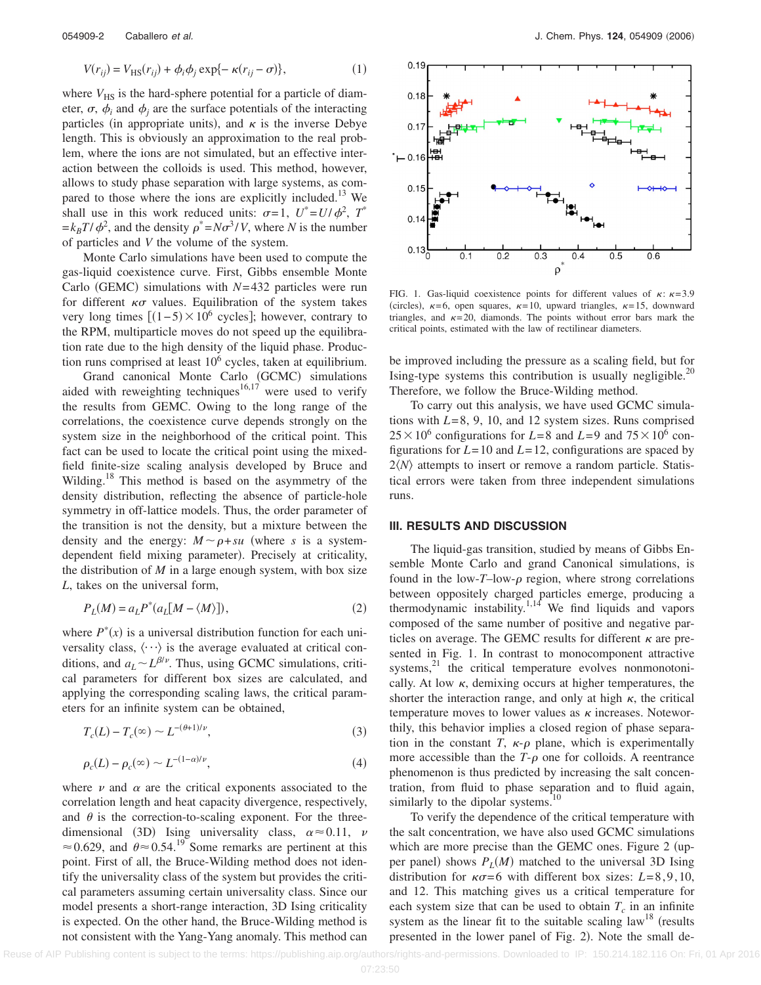$$
V(r_{ij}) = V_{\text{HS}}(r_{ij}) + \phi_i \phi_j \exp\{-\kappa (r_{ij} - \sigma)\},\tag{1}
$$

where  $V_{\text{HS}}$  is the hard-sphere potential for a particle of diameter,  $\sigma$ ,  $\phi$ <sub>i</sub> and  $\phi$ <sub>j</sub> are the surface potentials of the interacting particles (in appropriate units), and  $\kappa$  is the inverse Debye length. This is obviously an approximation to the real problem, where the ions are not simulated, but an effective interaction between the colloids is used. This method, however, allows to study phase separation with large systems, as compared to those where the ions are explicitly included.<sup>13</sup> We shall use in this work reduced units:  $\sigma = 1$ ,  $U^* = U/\phi^2$ ,  $T^*$  $=k_B T/\phi^2$ , and the density  $\rho^* = N\sigma^3/V$ , where *N* is the number of particles and *V* the volume of the system.

Monte Carlo simulations have been used to compute the gas-liquid coexistence curve. First, Gibbs ensemble Monte Carlo (GEMC) simulations with  $N=432$  particles were run for different  $\kappa\sigma$  values. Equilibration of the system takes very long times  $[(1-5) \times 10^6 \text{ cycles}];$  however, contrary to the RPM, multiparticle moves do not speed up the equilibration rate due to the high density of the liquid phase. Production runs comprised at least  $10<sup>6</sup>$  cycles, taken at equilibrium.

Grand canonical Monte Carlo (GCMC) simulations aided with reweighting techniques<sup>16,17</sup> were used to verify the results from GEMC. Owing to the long range of the correlations, the coexistence curve depends strongly on the system size in the neighborhood of the critical point. This fact can be used to locate the critical point using the mixedfield finite-size scaling analysis developed by Bruce and Wilding.<sup>18</sup> This method is based on the asymmetry of the density distribution, reflecting the absence of particle-hole symmetry in off-lattice models. Thus, the order parameter of the transition is not the density, but a mixture between the density and the energy:  $M \sim \rho + s u$  (where *s* is a systemdependent field mixing parameter). Precisely at criticality, the distribution of *M* in a large enough system, with box size *L*, takes on the universal form,

$$
P_L(M) = a_L P^*(a_L[M - \langle M \rangle]),\tag{2}
$$

where  $P^*(x)$  is a universal distribution function for each universality class,  $\langle \cdots \rangle$  is the average evaluated at critical conditions, and  $a_L \sim L^{\beta/\nu}$ . Thus, using GCMC simulations, critical parameters for different box sizes are calculated, and applying the corresponding scaling laws, the critical parameters for an infinite system can be obtained,

$$
T_c(L) - T_c(\infty) \sim L^{-(\theta+1)/\nu},\tag{3}
$$

$$
\rho_c(L) - \rho_c(\infty) \sim L^{-(1-\alpha)/\nu},\tag{4}
$$

where  $\nu$  and  $\alpha$  are the critical exponents associated to the correlation length and heat capacity divergence, respectively, and  $\theta$  is the correction-to-scaling exponent. For the threedimensional (3D) Ising universality class,  $\alpha \approx 0.11$ ,  $\nu$  $\approx$  0.629, and  $\theta \approx 0.54$ .<sup>19</sup> Some remarks are pertinent at this point. First of all, the Bruce-Wilding method does not identify the universality class of the system but provides the critical parameters assuming certain universality class. Since our model presents a short-range interaction, 3D Ising criticality is expected. On the other hand, the Bruce-Wilding method is not consistent with the Yang-Yang anomaly. This method can



FIG. 1. Gas-liquid coexistence points for different values of  $\kappa$ :  $\kappa$ =3.9 (circles),  $\kappa = 6$ , open squares,  $\kappa = 10$ , upward triangles,  $\kappa = 15$ , downward triangles, and  $\kappa$ =20, diamonds. The points without error bars mark the critical points, estimated with the law of rectilinear diameters.

be improved including the pressure as a scaling field, but for Ising-type systems this contribution is usually negligible.<sup>20</sup> Therefore, we follow the Bruce-Wilding method.

To carry out this analysis, we have used GCMC simulations with *L*=8, 9, 10, and 12 system sizes. Runs comprised  $25 \times 10^6$  configurations for *L*=8 and *L*=9 and 75 $\times$ 10<sup>6</sup> configurations for *L*=10 and *L*=12, configurations are spaced by  $2\langle N \rangle$  attempts to insert or remove a random particle. Statistical errors were taken from three independent simulations runs.

#### **III. RESULTS AND DISCUSSION**

The liquid-gas transition, studied by means of Gibbs Ensemble Monte Carlo and grand Canonical simulations, is found in the low- $T$ –low- $\rho$  region, where strong correlations between oppositely charged particles emerge, producing a thermodynamic instability.<sup>1,14</sup> We find liquids and vapors composed of the same number of positive and negative particles on average. The GEMC results for different  $\kappa$  are presented in Fig. 1. In contrast to monocomponent attractive systems,<sup>21</sup> the critical temperature evolves nonmonotonically. At low  $\kappa$ , demixing occurs at higher temperatures, the shorter the interaction range, and only at high  $\kappa$ , the critical temperature moves to lower values as  $\kappa$  increases. Noteworthily, this behavior implies a closed region of phase separation in the constant *T*,  $\kappa$ - $\rho$  plane, which is experimentally more accessible than the  $T-\rho$  one for colloids. A reentrance phenomenon is thus predicted by increasing the salt concentration, from fluid to phase separation and to fluid again, similarly to the dipolar systems. $10$ 

To verify the dependence of the critical temperature with the salt concentration, we have also used GCMC simulations which are more precise than the GEMC ones. Figure 2 (upper panel) shows  $P_L(M)$  matched to the universal 3D Ising distribution for  $\kappa \sigma = 6$  with different box sizes:  $L = 8, 9, 10$ , and 12. This matching gives us a critical temperature for each system size that can be used to obtain  $T_c$  in an infinite system as the linear fit to the suitable scaling  $law<sup>18</sup>$  (results presented in the lower panel of Fig. 2). Note the small de-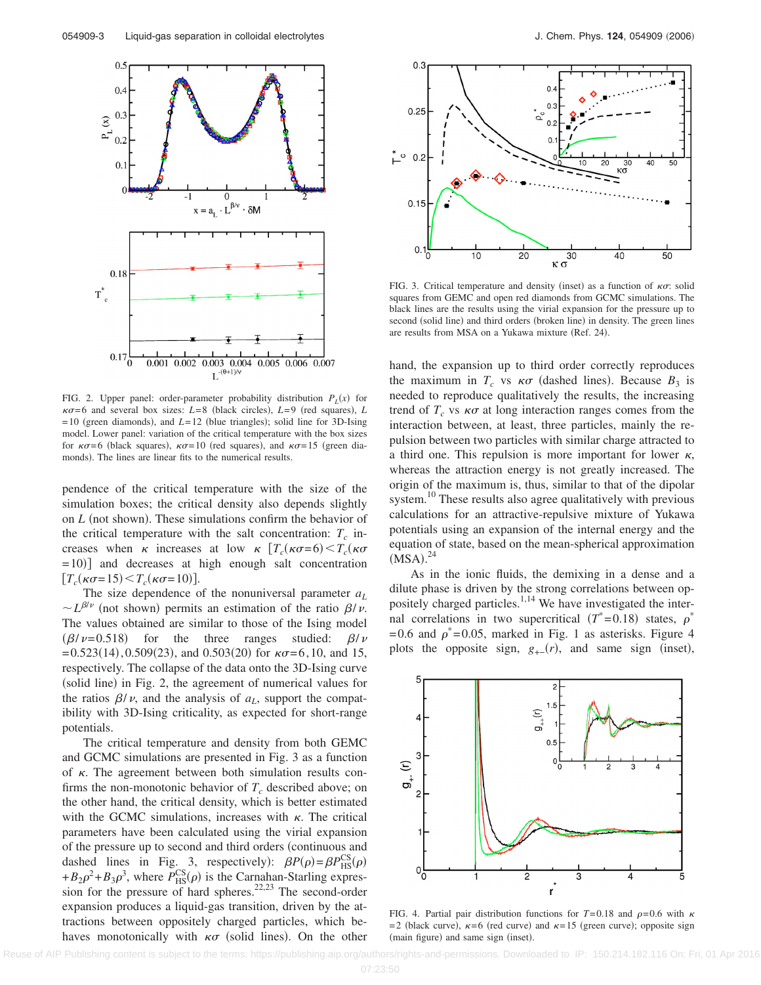

FIG. 2. Upper panel: order-parameter probability distribution  $P_L(x)$  for  $\kappa \sigma = 6$  and several box sizes:  $L = 8$  (black circles),  $L = 9$  (red squares), *L*  $= 10$  (green diamonds), and  $L = 12$  (blue triangles); solid line for 3D-Ising model. Lower panel: variation of the critical temperature with the box sizes for  $\kappa \sigma = 6$  (black squares),  $\kappa \sigma = 10$  (red squares), and  $\kappa \sigma = 15$  (green diamonds). The lines are linear fits to the numerical results.

pendence of the critical temperature with the size of the simulation boxes; the critical density also depends slightly on  $L$  (not shown). These simulations confirm the behavior of the critical temperature with the salt concentration:  $T_c$  increases when  $\kappa$  increases at low  $\kappa$   $[T_c(\kappa \sigma = 6) < T_c(\kappa \sigma$ =10)] and decreases at high enough salt concentration  $[T_c(\kappa \sigma = 15) \le T_c(\kappa \sigma = 10)].$ 

The size dependence of the nonuniversal parameter  $a<sub>L</sub>$  $\sim L^{\beta/\nu}$  (not shown) permits an estimation of the ratio  $\beta/\nu$ . The values obtained are similar to those of the Ising model  $(\beta/\nu=0.518)$  for the three ranges studied:  $\beta/\nu$  $= 0.523(14), 0.509(23),$  and  $0.503(20)$  for  $\kappa \sigma = 6, 10,$  and 15, respectively. The collapse of the data onto the 3D-Ising curve (solid line) in Fig. 2, the agreement of numerical values for the ratios  $\beta/\nu$ , and the analysis of  $a<sub>L</sub>$ , support the compatibility with 3D-Ising criticality, as expected for short-range potentials.

The critical temperature and density from both GEMC and GCMC simulations are presented in Fig. 3 as a function of  $\kappa$ . The agreement between both simulation results confirms the non-monotonic behavior of  $T_c$  described above; on the other hand, the critical density, which is better estimated with the GCMC simulations, increases with  $\kappa$ . The critical parameters have been calculated using the virial expansion of the pressure up to second and third orders continuous and dashed lines in Fig. 3, respectively):  $\beta P(\rho) = \beta P_{\text{HS}}^{\text{CS}}(\rho) + B_2 \rho^2 + B_3 \rho^3$ , where  $P_{\text{HS}}^{\text{CS}}(\rho)$  is the Carnahan-Starling expression for the pressure of hard spheres.<sup>22,23</sup> The second-order expansion produces a liquid-gas transition, driven by the attractions between oppositely charged particles, which behaves monotonically with  $\kappa\sigma$  (solid lines). On the other



FIG. 3. Critical temperature and density (inset) as a function of  $\kappa \sigma$ : solid squares from GEMC and open red diamonds from GCMC simulations. The black lines are the results using the virial expansion for the pressure up to second (solid line) and third orders (broken line) in density. The green lines are results from MSA on a Yukawa mixture (Ref. 24).

hand, the expansion up to third order correctly reproduces the maximum in  $T_c$  vs  $\kappa \sigma$  (dashed lines). Because  $B_3$  is needed to reproduce qualitatively the results, the increasing trend of  $T_c$  vs  $\kappa \sigma$  at long interaction ranges comes from the interaction between, at least, three particles, mainly the repulsion between two particles with similar charge attracted to a third one. This repulsion is more important for lower  $\kappa$ , whereas the attraction energy is not greatly increased. The origin of the maximum is, thus, similar to that of the dipolar system.<sup>10</sup> These results also agree qualitatively with previous calculations for an attractive-repulsive mixture of Yukawa potentials using an expansion of the internal energy and the equation of state, based on the mean-spherical approximation  $(MSA).^{24}$ 

As in the ionic fluids, the demixing in a dense and a dilute phase is driven by the strong correlations between oppositely charged particles.<sup>1,14</sup> We have investigated the internal correlations in two supercritical  $(T^* = 0.18)$  states,  $\rho^*$ =0.6 and  $\rho^*$ =0.05, marked in Fig. 1 as asterisks. Figure 4 plots the opposite sign,  $g_{+-(r)}$ , and same sign (inset),



FIG. 4. Partial pair distribution functions for  $T=0.18$  and  $\rho=0.6$  with  $\kappa$ =2 (black curve),  $\kappa$ =6 (red curve) and  $\kappa$ =15 (green curve); opposite sign (main figure) and same sign (inset).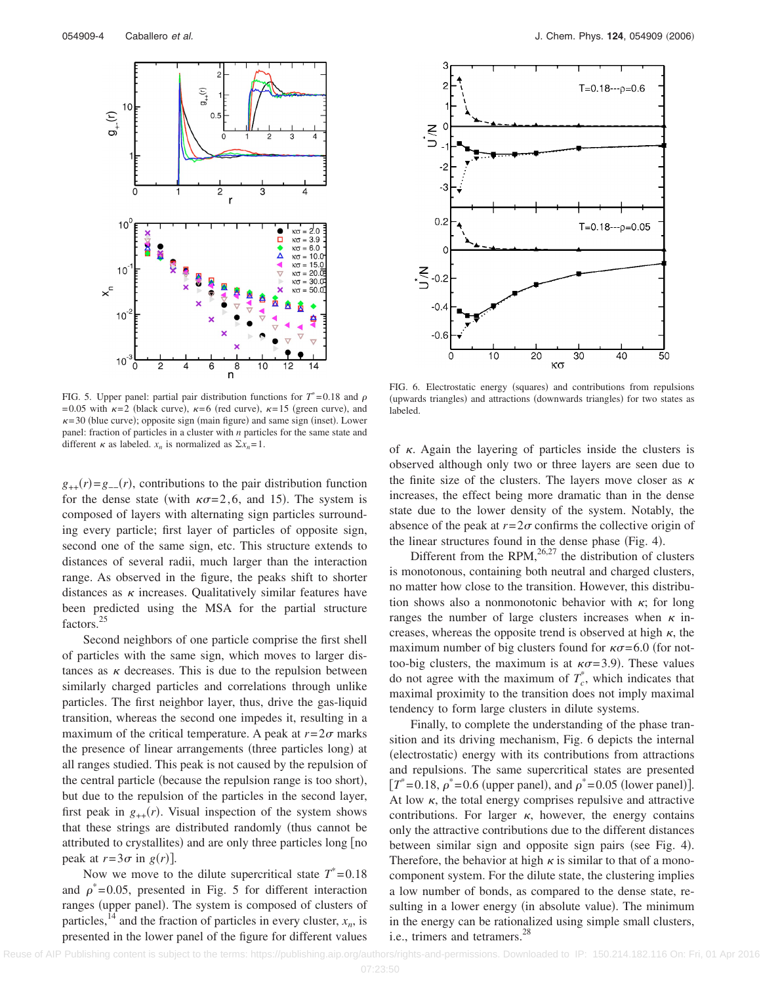![](_page_4_Figure_1.jpeg)

FIG. 5. Upper panel: partial pair distribution functions for  $T^* = 0.18$  and  $\rho$ =0.05 with  $\kappa$ =2 (black curve),  $\kappa$ =6 (red curve),  $\kappa$ =15 (green curve), and  $\kappa$ =30 (blue curve); opposite sign (main figure) and same sign (inset). Lower panel: fraction of particles in a cluster with *n* particles for the same state and different  $\kappa$  as labeled.  $x_n$  is normalized as  $\Sigma x_n = 1$ .

 $g_{++}(r) = g_{--}(r)$ , contributions to the pair distribution function for the dense state (with  $\kappa \sigma = 2, 6$ , and 15). The system is composed of layers with alternating sign particles surrounding every particle; first layer of particles of opposite sign, second one of the same sign, etc. This structure extends to distances of several radii, much larger than the interaction range. As observed in the figure, the peaks shift to shorter distances as  $\kappa$  increases. Qualitatively similar features have been predicted using the MSA for the partial structure factors.<sup>25</sup>

Second neighbors of one particle comprise the first shell of particles with the same sign, which moves to larger distances as  $\kappa$  decreases. This is due to the repulsion between similarly charged particles and correlations through unlike particles. The first neighbor layer, thus, drive the gas-liquid transition, whereas the second one impedes it, resulting in a maximum of the critical temperature. A peak at  $r=2\sigma$  marks the presence of linear arrangements (three particles long) at all ranges studied. This peak is not caused by the repulsion of the central particle (because the repulsion range is too short), but due to the repulsion of the particles in the second layer, first peak in  $g_{++}(r)$ . Visual inspection of the system shows that these strings are distributed randomly (thus cannot be attributed to crystallites) and are only three particles long [no peak at  $r=3\sigma$  in  $g(r)$ ].

Now we move to the dilute supercritical state  $T^* = 0.18$ and  $\rho^*$ =0.05, presented in Fig. 5 for different interaction ranges (upper panel). The system is composed of clusters of particles,<sup>14</sup> and the fraction of particles in every cluster,  $x_n$ , is presented in the lower panel of the figure for different values

![](_page_4_Figure_7.jpeg)

FIG. 6. Electrostatic energy (squares) and contributions from repulsions (upwards triangles) and attractions (downwards triangles) for two states as labeled.

of  $\kappa$ . Again the layering of particles inside the clusters is observed although only two or three layers are seen due to the finite size of the clusters. The layers move closer as  $\kappa$ increases, the effect being more dramatic than in the dense state due to the lower density of the system. Notably, the absence of the peak at  $r=2\sigma$  confirms the collective origin of the linear structures found in the dense phase (Fig. 4).

Different from the RPM, $^{26,27}$  the distribution of clusters is monotonous, containing both neutral and charged clusters, no matter how close to the transition. However, this distribution shows also a nonmonotonic behavior with  $\kappa$ ; for long ranges the number of large clusters increases when  $\kappa$  increases, whereas the opposite trend is observed at high  $\kappa$ , the maximum number of big clusters found for  $\kappa \sigma = 6.0$  (for nottoo-big clusters, the maximum is at  $\kappa \sigma = 3.9$ ). These values do not agree with the maximum of  $T_c^*$ , which indicates that maximal proximity to the transition does not imply maximal tendency to form large clusters in dilute systems.

Finally, to complete the understanding of the phase transition and its driving mechanism, Fig. 6 depicts the internal (electrostatic) energy with its contributions from attractions and repulsions. The same supercritical states are presented  $[T^* = 0.18, \rho^* = 0.6$  (upper panel), and  $\rho^* = 0.05$  (lower panel)]. At low  $\kappa$ , the total energy comprises repulsive and attractive contributions. For larger  $\kappa$ , however, the energy contains only the attractive contributions due to the different distances between similar sign and opposite sign pairs (see Fig. 4). Therefore, the behavior at high  $\kappa$  is similar to that of a monocomponent system. For the dilute state, the clustering implies a low number of bonds, as compared to the dense state, resulting in a lower energy (in absolute value). The minimum in the energy can be rationalized using simple small clusters, i.e., trimers and tetramers.<sup>28</sup>